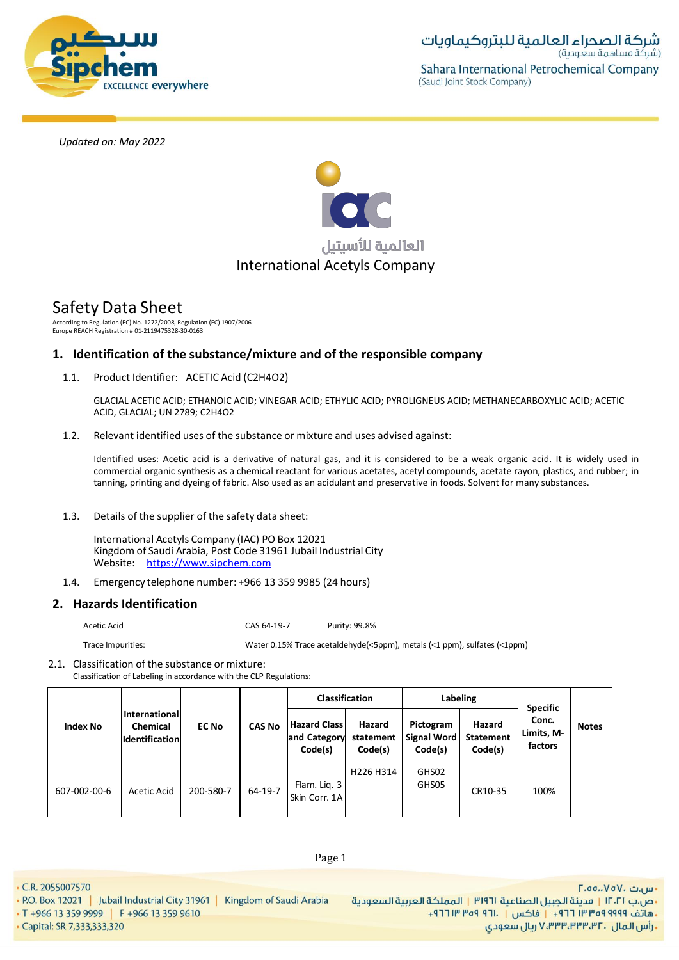



# Safety Data Sheet

According to Regulation (EC) No. 1272/2008, Regulation (EC) 1907/2006 Europe REACH Registration # 01-2119475328-30-0163

# **1. Identification of the substance/mixture and of the responsible company**

1.1. Product Identifier: ACETIC Acid (C2H4O2)

GLACIAL ACETIC ACID; ETHANOIC ACID; VINEGAR ACID; ETHYLIC ACID; PYROLIGNEUS ACID; METHANECARBOXYLIC ACID; ACETIC ACID, GLACIAL; UN 2789; C2H4O2

1.2. Relevant identified uses of the substance or mixture and uses advised against:

Identified uses: Acetic acid is a derivative of natural gas, and it is considered to be a weak organic acid. It is widely used in commercial organic synthesis as a chemical reactant for various acetates, acetyl compounds, acetate rayon, plastics, and rubber; in tanning, printing and dyeing of fabric. Also used as an acidulant and preservative in foods. Solvent for many substances.

1.3. Details of the supplier of the safety data sheet:

International Acetyls Company (IAC) PO Box 12021 Kingdom of Saudi Arabia, Post Code 31961 Jubail Industrial City Website: https://www.sipchem.com

1.4. Emergency telephone number: +966 13 359 9985 (24 hours)

# **2. Hazards Identification**

Acetic Acid CAS 64-19-7 Purity: 99.8%

Trace Impurities: Water 0.15% Trace acetaldehyde(<5ppm), metals (<1 ppm), sulfates (<1ppm)

2.1. Classification of the substance or mixture:

Classification of Labeling in accordance with the CLP Regulations:

|                 |                                                           |              |               | <b>Classification</b>                          |                                   | Labeling                                   |                                       |                                                   |              |
|-----------------|-----------------------------------------------------------|--------------|---------------|------------------------------------------------|-----------------------------------|--------------------------------------------|---------------------------------------|---------------------------------------------------|--------------|
| <b>Index No</b> | International<br><b>Chemical</b><br><b>Identification</b> | <b>EC No</b> | <b>CAS No</b> | <b>Hazard Class</b><br>and Category<br>Code(s) | Hazard<br>statement<br>Code(s)    | Pictogram<br><b>Signal Word</b><br>Code(s) | Hazard<br><b>Statement</b><br>Code(s) | <b>Specific</b><br>Conc.<br>Limits, M-<br>factors | <b>Notes</b> |
| 607-002-00-6    | Acetic Acid                                               | 200-580-7    | 64-19-7       | Flam. Lig. 3<br>Skin Corr. 1A                  | H <sub>226</sub> H <sub>314</sub> | GHS02<br>GHS05                             | CR10-35                               | 100%                                              |              |

• C.R. 2055007570

• Capital: SR 7,333,333,320

• P.O. Box 12021 | Jubail Industrial City 31961 | Kingdom of Saudi Arabia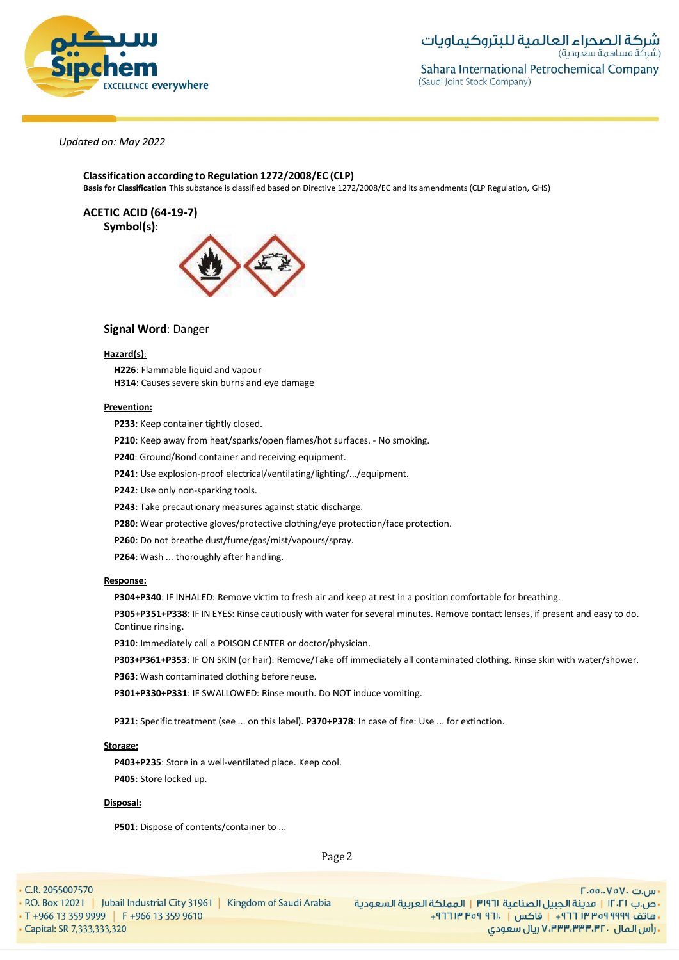

**Classification according to Regulation 1272/2008/EC (CLP) Basis for Classification** This substance is classified based on Directive 1272/2008/EC and its amendments (CLP Regulation, GHS)

**ACETIC ACID (64-19-7) Symbol(s)**:



# **Signal Word**: Danger

#### **Hazard(s)**:

**H226**: Flammable liquid and vapour **H314**: Causes severe skin burns and eye damage

### **Prevention:**

**P233**: Keep container tightly closed.

**P210**: Keep away from heat/sparks/open flames/hot surfaces. - No smoking.

**P240**: Ground/Bond container and receiving equipment.

**P241**: Use explosion-proof electrical/ventilating/lighting/.../equipment.

**P242**: Use only non-sparking tools.

**P243**: Take precautionary measures against static discharge.

**P280**: Wear protective gloves/protective clothing/eye protection/face protection.

**P260**: Do not breathe dust/fume/gas/mist/vapours/spray.

**P264**: Wash ... thoroughly after handling.

# **Response:**

**P304+P340**: IF INHALED: Remove victim to fresh air and keep at rest in a position comfortable for breathing.

**P305+P351+P338**: IF IN EYES: Rinse cautiously with water forseveral minutes. Remove contact lenses, if present and easy to do. Continue rinsing.

**P310**: Immediately call a POISON CENTER or doctor/physician.

**P303+P361+P353**: IF ON SKIN (or hair): Remove/Take off immediately all contaminated clothing. Rinse skin with water/shower. **P363**: Wash contaminated clothing before reuse.

**P301+P330+P331**: IF SWALLOWED: Rinse mouth. Do NOT induce vomiting.

**P321**: Specific treatment (see ... on this label). **P370+P378**: In case of fire: Use ... for extinction.

#### **Storage:**

**P403+P235**: Store in a well-ventilated place. Keep cool. **P405**: Store locked up.

# **Disposal:**

**P501**: Dispose of contents/container to ...

Page 2

• C.R. 2055007570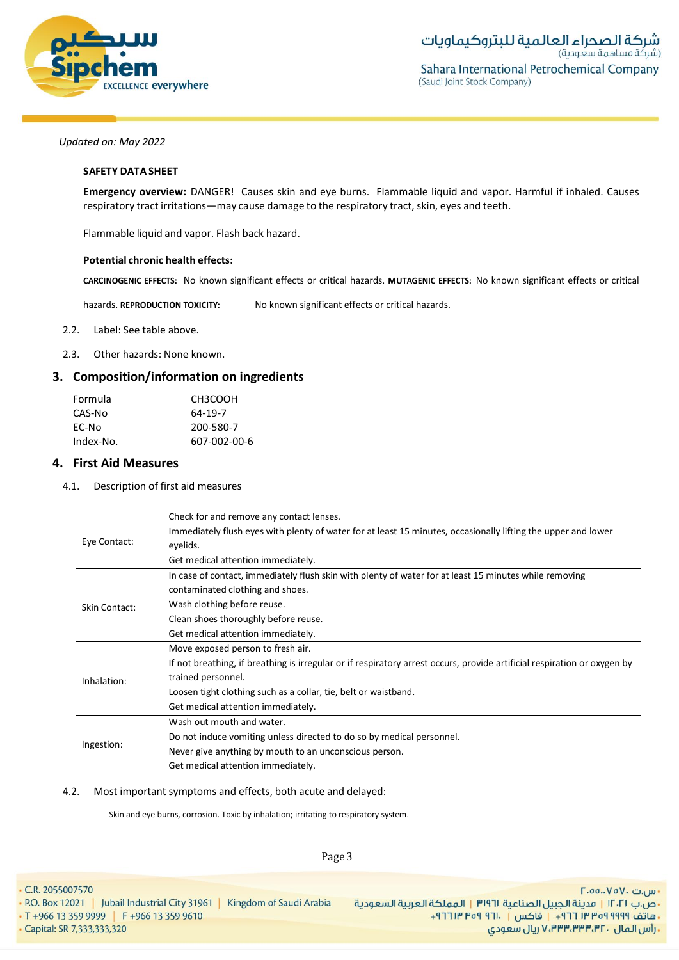

شركة الصحراء العالمية للبتروكيماويات (شركة مساهمة سعودية) Sahara International Petrochemical Company (Saudi Joint Stock Company)

# *Updated on: May 2022*

### **SAFETY DATA SHEET**

**Emergency overview:** DANGER! Causes skin and eye burns. Flammable liquid and vapor. Harmful if inhaled. Causes respiratory tract irritations—may cause damage to the respiratory tract, skin, eyes and teeth.

Flammable liquid and vapor. Flash back hazard.

### **Potential chronic health effects:**

**CARCINOGENIC EFFECTS:** No known significant effects or critical hazards. **MUTAGENIC EFFECTS:** No known significant effects or critical

hazards. **REPRODUCTION TOXICITY:** No known significant effects or critical hazards.

# 2.2. Label: See table above.

2.3. Other hazards: None known.

# **3. Composition/information on ingredients**

| Formula   | CH3COOH      |
|-----------|--------------|
| CAS-No    | 64-19-7      |
| EC-No     | 200-580-7    |
| Index-No. | 607-002-00-6 |

# **4. First Aid Measures**

#### 4.1. Description of first aid measures

| Eye Contact:         | Check for and remove any contact lenses.<br>Immediately flush eyes with plenty of water for at least 15 minutes, occasionally lifting the upper and lower<br>eyelids.<br>Get medical attention immediately.                                                                                  |
|----------------------|----------------------------------------------------------------------------------------------------------------------------------------------------------------------------------------------------------------------------------------------------------------------------------------------|
| <b>Skin Contact:</b> | In case of contact, immediately flush skin with plenty of water for at least 15 minutes while removing<br>contaminated clothing and shoes.<br>Wash clothing before reuse.                                                                                                                    |
|                      | Clean shoes thoroughly before reuse.<br>Get medical attention immediately.                                                                                                                                                                                                                   |
| Inhalation:          | Move exposed person to fresh air.<br>If not breathing, if breathing is irregular or if respiratory arrest occurs, provide artificial respiration or oxygen by<br>trained personnel.<br>Loosen tight clothing such as a collar, tie, belt or waistband.<br>Get medical attention immediately. |
| Ingestion:           | Wash out mouth and water.<br>Do not induce vomiting unless directed to do so by medical personnel.<br>Never give anything by mouth to an unconscious person.<br>Get medical attention immediately.                                                                                           |

# 4.2. Most important symptoms and effects, both acute and delayed:

Skin and eye burns, corrosion. Toxic by inhalation; irritating to respiratory system.

Page 3

• C.R. 2055007570 - س.ت ۷۵۷۰، ۲.۵۵.۰۷۵ • P.O. Box 12021 | Jubail Industrial City 31961 | Kingdom of Saudi Arabia •ص.ب ١٢٠٢١ | مدينة الجبيل الصناعية ٣١٩٦١ | المملكة العربية السعودية • T +966 13 359 9999 | F +966 13 359 9610 +هاتف ٩٩٩٩ ٩٥٩ ٣٣ ٣٦٦ + إ فاكس | ١٣٠١ ٩٥٩ ٣١٢ + ريال سعودي, ۷٬۳۳۳٬۳۳۳٬۳۲۰ ريال سعودي · Capital: SR 7,333,333,320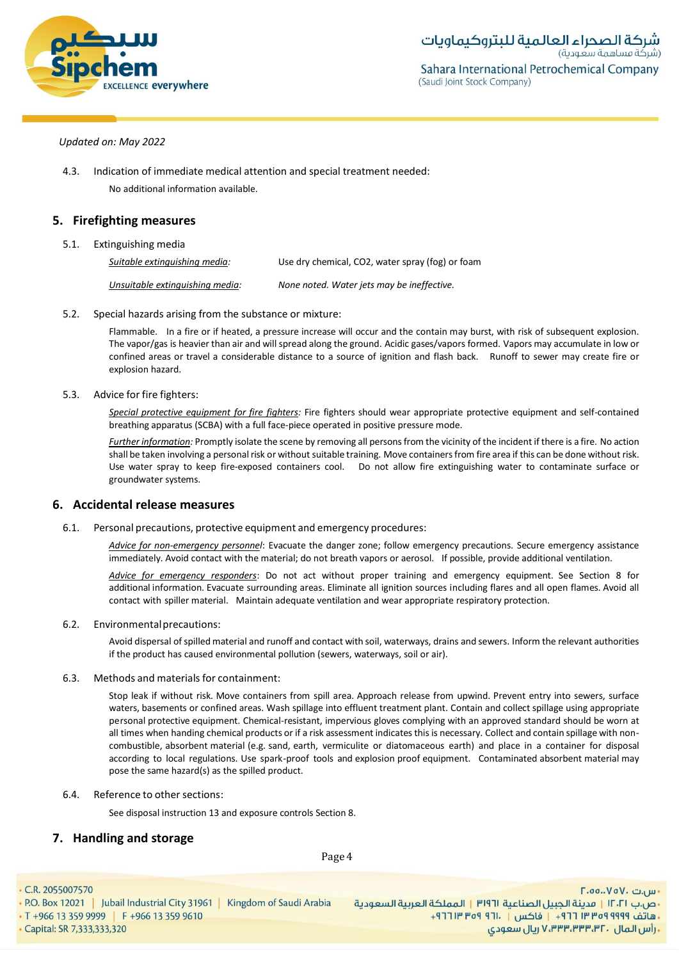

F.oo..VoV. تىر <sub>u</sub>

# *Updated on: May 2022*

4.3. Indication of immediate medical attention and special treatment needed: No additional information available.

# **5. Firefighting measures**

# 5.1. Extinguishing media

*Suitable extinguishing media:* Use dry chemical, CO2, water spray (fog) or foam *Unsuitable extinguishing media: None noted. Water jets may be ineffective.*

5.2. Special hazards arising from the substance or mixture:

Flammable. In a fire or if heated, a pressure increase will occur and the contain may burst, with risk of subsequent explosion. The vapor/gas is heavier than air and will spread along the ground. Acidic gases/vapors formed. Vapors may accumulate in low or confined areas or travel a considerable distance to a source of ignition and flash back. Runoff to sewer may create fire or explosion hazard.

# 5.3. Advice for fire fighters:

*Special protective equipment for fire fighters:* Fire fighters should wear appropriate protective equipment and self-contained breathing apparatus (SCBA) with a full face-piece operated in positive pressure mode.

*Further information:* Promptly isolate the scene by removing all persons from the vicinity of the incident if there is a fire. No action shall be taken involving a personal risk or without suitable training. Move containers from fire area if this can be done without risk. Use water spray to keep fire-exposed containers cool. Do not allow fire extinguishing water to contaminate surface or groundwater systems.

# **6. Accidental release measures**

6.1. Personal precautions, protective equipment and emergency procedures:

*Advice for non-emergency personnel*: Evacuate the danger zone; follow emergency precautions. Secure emergency assistance immediately. Avoid contact with the material; do not breath vapors or aerosol. If possible, provide additional ventilation.

*Advice for emergency responders*: Do not act without proper training and emergency equipment. See Section 8 for additional information. Evacuate surrounding areas. Eliminate all ignition sources including flares and all open flames. Avoid all contact with spiller material. Maintain adequate ventilation and wear appropriate respiratory protection.

# 6.2. Environmentalprecautions:

Avoid dispersal of spilled material and runoff and contact with soil, waterways, drains and sewers. Inform the relevant authorities if the product has caused environmental pollution (sewers, waterways, soil or air).

# 6.3. Methods and materials for containment:

Stop leak if without risk. Move containers from spill area. Approach release from upwind. Prevent entry into sewers, surface waters, basements or confined areas. Wash spillage into effluent treatment plant. Contain and collect spillage using appropriate personal protective equipment. Chemical-resistant, impervious gloves complying with an approved standard should be worn at all times when handing chemical products or if a risk assessment indicates this is necessary. Collect and contain spillage with noncombustible, absorbent material (e.g. sand, earth, vermiculite or diatomaceous earth) and place in a container for disposal according to local regulations. Use spark-proof tools and explosion proof equipment. Contaminated absorbent material may pose the same hazard(s) as the spilled product.

6.4. Reference to othersections:

See disposal instruction 13 and exposure controls Section 8.

# **7. Handling and storage**

Page 4

• C.R. 2055007570

. P.O. Box 12021 | Jubail Industrial City 31961 | Kingdom of Saudi Arabia •ص.ب ١٢٠٢١ | مدينة الجبيل الصناعية ٣١٩٦١ | المملكة العربية السعودية • T +966 13 359 9999 | F +966 13 359 9610 + هاتف ٩٩٩٩ ٩٩٩٩ ٣ ٣ ٢ ٢ ١ - إ فاكس | . ١٢١ ٩٥٩ ٣ ٢ ٢ ٢ + - Capital: SR 7,333,333,320 ـ رأس المال ، ۷٬۳۳۳٬۳۳۳٬۳۲ ريال سعودی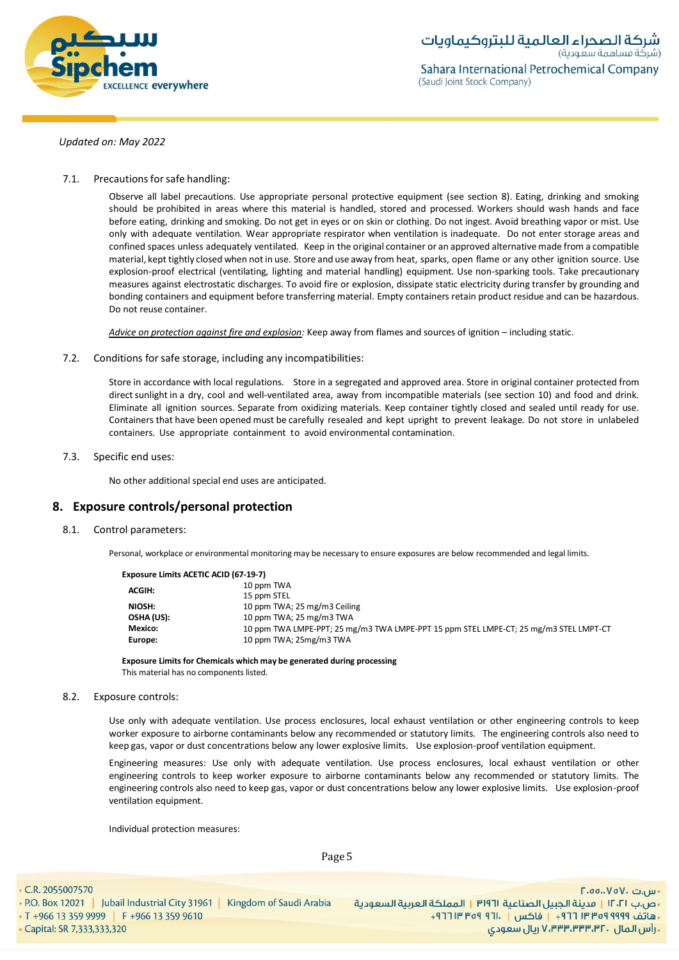

7.1. Precautions for safe handling:

Observe all label precautions. Use appropriate personal protective equipment (see section 8). Eating, drinking and smoking should be prohibited in areas where this material is handled, stored and processed. Workers should wash hands and face before eating, drinking and smoking. Do not get in eyes or on skin or clothing. Do not ingest. Avoid breathing vapor or mist. Use only with adequate ventilation. Wear appropriate respirator when ventilation is inadequate. Do not enter storage areas and confined spaces unless adequately ventilated. Keep in the original container or an approved alternativemade from a compatible material, kept tightly closed when not in use. Store and use away from heat, sparks, open flame or any other ignition source. Use explosion-proof electrical (ventilating, lighting and material handling) equipment. Use non-sparking tools. Take precautionary measures against electrostatic discharges. To avoid fire or explosion, dissipate static electricity during transfer by grounding and bonding containers and equipment before transferring material. Empty containers retain product residue and can be hazardous. Do not reuse container.

*Advice on protection against fire and explosion:* Keep away from flames and sources of ignition – including static.

7.2. Conditions for safe storage, including any incompatibilities:

Store in accordance with local regulations. Store in a segregated and approved area. Store in original container protected from direct sunlight in a dry, cool and well-ventilated area, away from incompatible materials (see section 10) and food and drink. Eliminate all ignition sources. Separate from oxidizing materials. Keep container tightly closed and sealed until ready for use. Containers that have been opened must be carefully resealed and kept upright to prevent leakage. Do not store in unlabeled containers. Use appropriate containment to avoid environmental contamination.

7.3. Specific end uses:

No other additional special end uses are anticipated.

# **8. Exposure controls/personal protection**

8.1. Control parameters:

Personal, workplace or environmental monitoring may be necessary to ensure exposures are below recommended and legal limits.

| Exposure Limits ACETIC ACID (67-19-7) |                                                                                       |
|---------------------------------------|---------------------------------------------------------------------------------------|
| <b>ACGIH:</b>                         | 10 ppm TWA                                                                            |
|                                       | 15 ppm STEL                                                                           |
| NIOSH:                                | 10 ppm TWA; 25 mg/m3 Ceiling                                                          |
| OSHA (US):                            | 10 ppm TWA; 25 mg/m3 TWA                                                              |
| Mexico:                               | 10 ppm TWA LMPE-PPT; 25 mg/m3 TWA LMPE-PPT 15 ppm STEL LMPE-CT; 25 mg/m3 STEL LMPT-CT |
| Europe:                               | 10 ppm TWA; 25mg/m3 TWA                                                               |
|                                       |                                                                                       |

**Exposure Limits for Chemicals which may be generated during processing**

This material has no components listed.

#### 8.2. Exposure controls:

Use only with adequate ventilation. Use process enclosures, local exhaust ventilation or other engineering controls to keep worker exposure to airborne contaminants below any recommended or statutory limits. The engineering controls also need to keep gas, vapor or dust concentrations below any lower explosive limits. Use explosion-proof ventilation equipment.

Engineering measures: Use only with adequate ventilation. Use process enclosures, local exhaust ventilation or other engineering controls to keep worker exposure to airborne contaminants below any recommended or statutory limits. The engineering controls also need to keep gas, vapor or dust concentrations below any lower explosive limits. Use explosion-proof ventilation equipment.

Individual protection measures:

Page 5

• C.R. 2055007570

• P.O. Box 12021 | Jubail Industrial City 31961 | Kingdom of Saudi Arabia • T +966 13 359 9999 | F +966 13 359 9610 - Capital: SR 7,333,333,320

F.oo..VoV. تىر <sub>u</sub> •ص.ب ١٢٠٢١ | مدينة الجبيل الصناعية ٣١٩٦١ | المملكة العربية السعودية + هاتف ٩٩٩٩ ٩٩٩٩ ٣ ٣ ٢ ٢ ١ - إ فاكس | . ١٢١ ٩٥٩ ٣ ٢ ٢ ٢ + ريال سعودي, ۷٬۳۳۳٬۳۳۳٬۳۲۰ ريال سعودي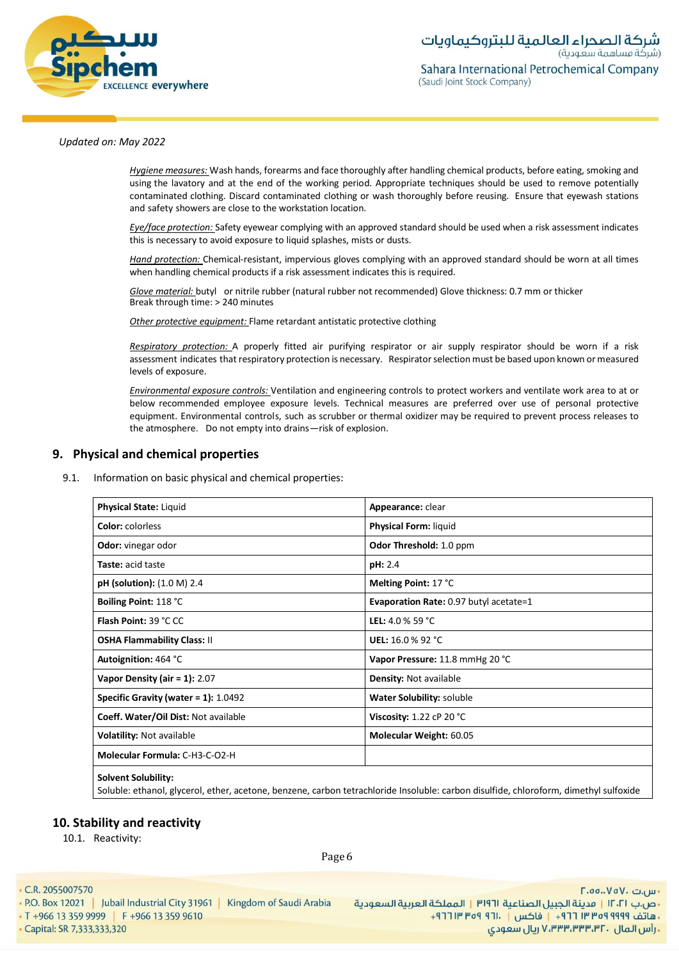

*Hygiene measures:* Wash hands, forearms and face thoroughly after handling chemical products, before eating, smoking and using the lavatory and at the end of the working period. Appropriate techniques should be used to remove potentially contaminated clothing. Discard contaminated clothing or wash thoroughly before reusing. Ensure that eyewash stations and safety showers are close to the workstation location*.*

*Eye/face protection:* Safety eyewear complying with an approved standard should be used when a risk assessment indicates this is necessary to avoid exposure to liquid splashes, mists or dusts.

*Hand protection:* Chemical-resistant, impervious gloves complying with an approved standard should be worn at all times when handling chemical products if a risk assessment indicates this is required.

*Glove material:* butyl or nitrile rubber (natural rubber not recommended) Glove thickness: 0.7 mm or thicker Break through time: > 240 minutes

*Other protective equipment:* Flame retardant antistatic protective clothing

*Respiratory protection:* A properly fitted air purifying respirator or air supply respirator should be worn if a risk assessment indicates that respiratory protection is necessary. Respiratorselection must be based upon known ormeasured levels of exposure.

*Environmental exposure controls:* Ventilation and engineering controls to protect workers and ventilate work area to at or below recommended employee exposure levels. Technical measures are preferred over use of personal protective equipment. Environmental controls, such as scrubber or thermal oxidizer may be required to prevent process releases to the atmosphere. Do not empty into drains—risk of explosion.

# **9. Physical and chemical properties**

9.1. Information on basic physical and chemical properties:

| <b>Physical State: Liquid</b>        | Appearance: clear                      |
|--------------------------------------|----------------------------------------|
| <b>Color:</b> colorless              | <b>Physical Form: liquid</b>           |
| <b>Odor:</b> vinegar odor            | Odor Threshold: 1.0 ppm                |
| <b>Taste:</b> acid taste             | pH: 2.4                                |
| <b>pH</b> (solution): (1.0 M) 2.4    | Melting Point: 17 °C                   |
| Boiling Point: 118 °C                | Evaporation Rate: 0.97 butyl acetate=1 |
| <b>Flash Point: 39 °C CC</b>         | <b>LEL:</b> 4.0 % 59 °C                |
| <b>OSHA Flammability Class: II</b>   | <b>UEL:</b> 16.0 % 92 °C               |
| Autoignition: 464 °C                 | Vapor Pressure: 11.8 mmHg 20 °C        |
| Vapor Density (air = $1$ ): 2.07     | <b>Density: Not available</b>          |
| Specific Gravity (water = 1): 1.0492 | Water Solubility: soluble              |
| Coeff. Water/Oil Dist: Not available | Viscosity: $1.22$ cP 20 °C             |
| Volatility: Not available            | Molecular Weight: 60.05                |
| Molecular Formula: C-H3-C-O2-H       |                                        |
| <b>Solvent Solubility:</b>           |                                        |

Soluble: ethanol, glycerol, ether, acetone, benzene, carbon tetrachloride Insoluble: carbon disulfide, chloroform, dimethyl sulfoxide

# **10. Stability and reactivity**

10.1. Reactivity:

Page 6

• C.R. 2055007570

. P.O. Box 12021 | Jubail Industrial City 31961 | Kingdom of Saudi Arabia

• T +966 13 359 9999 | F +966 13 359 9610 - Capital: SR 7,333,333,320

F.oo..VoV. تىر <sub>u</sub> •ص.ب ١٢٠٢١ | مدينة الجبيل الصناعية ٣١٩٦١ | المملكة العربية السعودية + هاتف ٩٩٩٩ ٩٩٩٩ ٣ ٣ ٢ ٢ ١ - إ فاكس | . ١٢١ ٩٥٩ ٣ ٢ ٢ ٢ + ريال سعودي, ۷٬۳۳۳٬۳۳۳٬۳۲۰ ريال سعودي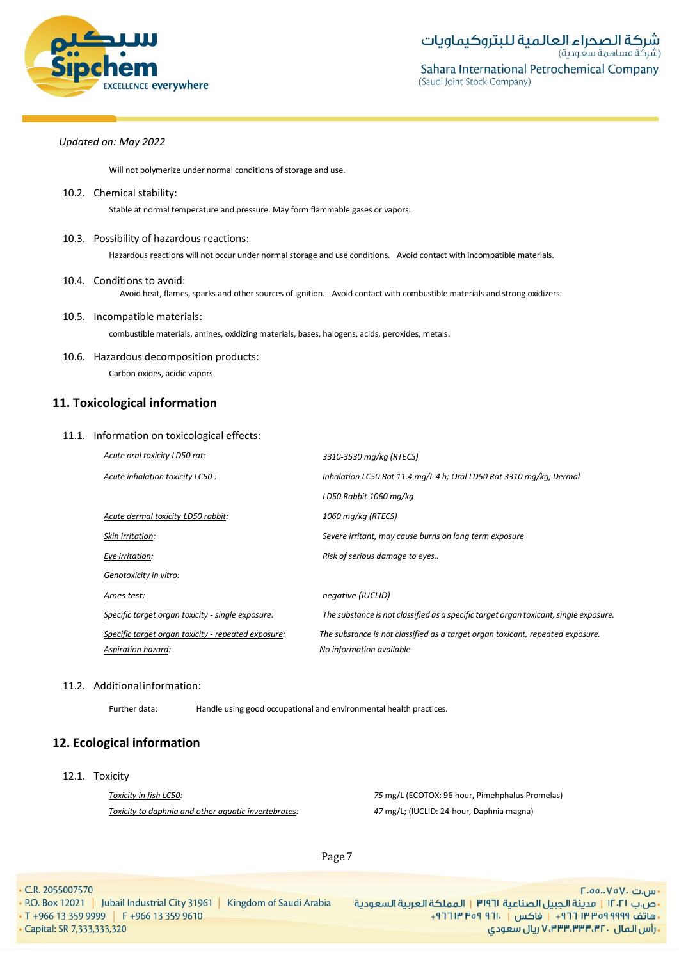

Will not polymerize under normal conditions of storage and use.

10.2. Chemical stability:

Stable at normal temperature and pressure. May form flammable gases or vapors.

10.3. Possibility of hazardous reactions:

Hazardous reactions will not occur under normal storage and use conditions. Avoid contact with incompatible materials.

- 10.4. Conditions to avoid: Avoid heat, flames, sparks and other sources of ignition. Avoid contact with combustible materials and strong oxidizers.
- 10.5. Incompatible materials: combustible materials, amines, oxidizing materials, bases, halogens, acids, peroxides, metals.
- 10.6. Hazardous decomposition products: Carbon oxides, acidic vapors

# **11. Toxicological information**

# 11.1. Information on toxicological effects:

| Acute oral toxicity LD50 rat:                       | 3310-3530 mg/kg (RTECS)                                                               |
|-----------------------------------------------------|---------------------------------------------------------------------------------------|
| Acute inhalation toxicity LC50 :                    | Inhalation LC50 Rat 11.4 mg/L 4 h; Oral LD50 Rat 3310 mg/kg; Dermal                   |
|                                                     | LD50 Rabbit 1060 mg/kg                                                                |
| Acute dermal toxicity LD50 rabbit:                  | 1060 mg/kg (RTECS)                                                                    |
| Skin irritation:                                    | Severe irritant, may cause burns on long term exposure                                |
| Eye irritation:                                     | Risk of serious damage to eyes                                                        |
| Genotoxicity in vitro:                              |                                                                                       |
| Ames test:                                          | negative (IUCLID)                                                                     |
| Specific target organ toxicity - single exposure:   | The substance is not classified as a specific target organ toxicant, single exposure. |
| Specific target organ toxicity - repeated exposure: | The substance is not classified as a target organ toxicant, repeated exposure.        |
| Aspiration hazard:                                  | No information available                                                              |

# 11.2. Additional information:

Further data: Handle using good occupational and environmental health practices.

# **12. Ecological information**

12.1. Toxicity

*Toxicity in fish LC50: Toxicity to daphnia and other aquatic invertebrates:* *75* mg/L (ECOTOX: 96 hour, Pimehphalus Promelas) *47* mg/L; (IUCLID: 24-hour, Daphnia magna)

Page 7

• C.R. 2055007570

• P.O. Box 12021 | Jubail Industrial City 31961 | Kingdom of Saudi Arabia • T +966 13 359 9999 | F +966 13 359 9610 · Capital: SR 7,333,333,320

- س.ت ۷۵۷۰، ۲.۵۵.۰۷۵ •ص.ب ١٢٠٢١ | مدينة الجبيل الصناعية ٣١٩٦١ | المملكة العربية السعودية +هاتف ٩٩٩٩ ٩٥٩ ٣٣ ٣٦٦ + إ فاكس | ١٣٠١ ٩٥٩ ٣١٢ + ريال سعودي, ۷٬۳۳۳٬۳۳۳٬۳۲۰ ريال سعودي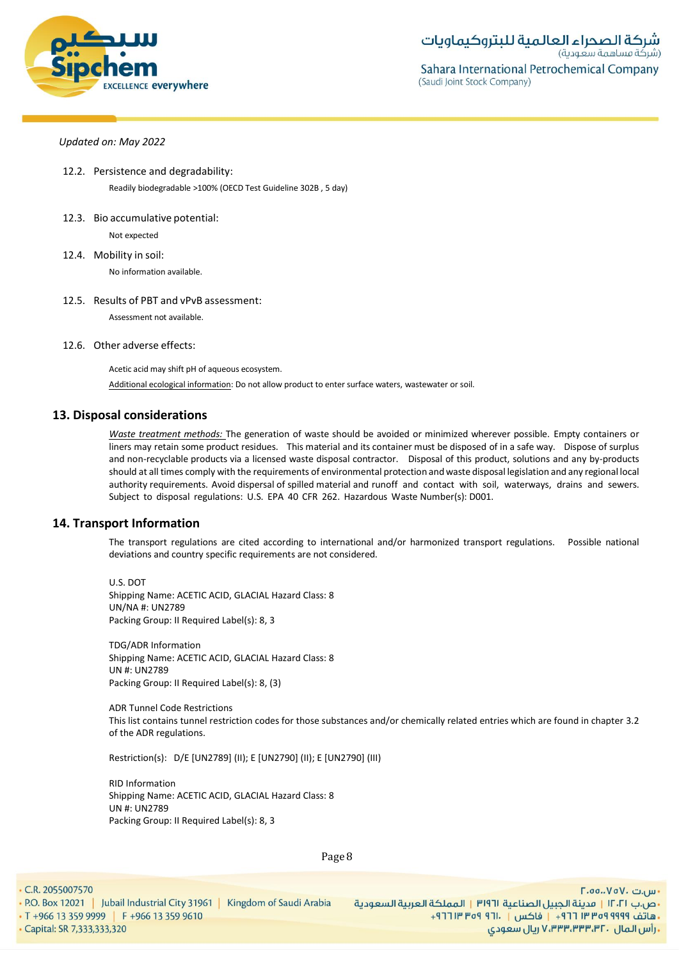

- 12.2. Persistence and degradability: Readily biodegradable >100% (OECD Test Guideline 302B , 5 day)
- 12.3. Bio accumulative potential:

Not expected

- 12.4. Mobility in soil: No information available.
- 12.5. Results of PBT and vPvB assessment:

Assessment not available.

12.6. Other adverse effects:

Acetic acid may shift pH of aqueous ecosystem.

Additional ecological information: Do not allow product to enter surface waters, wastewater or soil.

# **13. Disposal considerations**

*Waste treatment methods:* The generation of waste should be avoided or minimized wherever possible. Empty containers or liners may retain some product residues. This material and its container must be disposed of in a safe way. Dispose of surplus and non-recyclable products via a licensed waste disposal contractor. Disposal of this product, solutions and any by-products should at all times comply with the requirements of environmental protection and waste disposal legislation and any regional local authority requirements. Avoid dispersal of spilled material and runoff and contact with soil, waterways, drains and sewers. Subject to disposal regulations: U.S. EPA 40 CFR 262. Hazardous Waste Number(s): D001.

# **14. Transport Information**

The transport regulations are cited according to international and/or harmonized transport regulations. Possible national deviations and country specific requirements are not considered.

U.S. DOT Shipping Name: ACETIC ACID, GLACIAL Hazard Class: 8 UN/NA #: UN2789 Packing Group: II Required Label(s): 8, 3

TDG/ADR Information Shipping Name: ACETIC ACID, GLACIAL Hazard Class: 8 UN #: UN2789 Packing Group: II Required Label(s): 8, (3)

ADR Tunnel Code Restrictions This list contains tunnel restriction codes for those substances and/or chemically related entries which are found in chapter 3.2 of the ADR regulations.

Restriction(s): D/E [UN2789] (II); E [UN2790] (II); E [UN2790] (III)

RID Information Shipping Name: ACETIC ACID, GLACIAL Hazard Class: 8 UN #: UN2789 Packing Group: II Required Label(s): 8, 3

Page 8

• C.R. 2055007570

• P.O. Box 12021 | Jubail Industrial City 31961 | Kingdom of Saudi Arabia • T +966 13 359 9999 | F +966 13 359 9610 - Capital: SR 7,333,333,320

- س.ت ۷۵۷۰، ۲.۵۵.۰۷۵ •ص.ب ١٢٠٢١ | مدينة الجبيل الصناعية ٣١٩٦١ | المملكة العربية السعودية + هاتف ٩٩٩٩ ٩٩٩٩ ٣ ٣ ٢ ٢ ١ - إ فاكس | . ١٢١ ٩٥٩ ٣ ٢ ٢ ٢ + ـ رأس المال ، ۷٬۳۳۳٬۳۳۳٬۳۲ ريال سعودی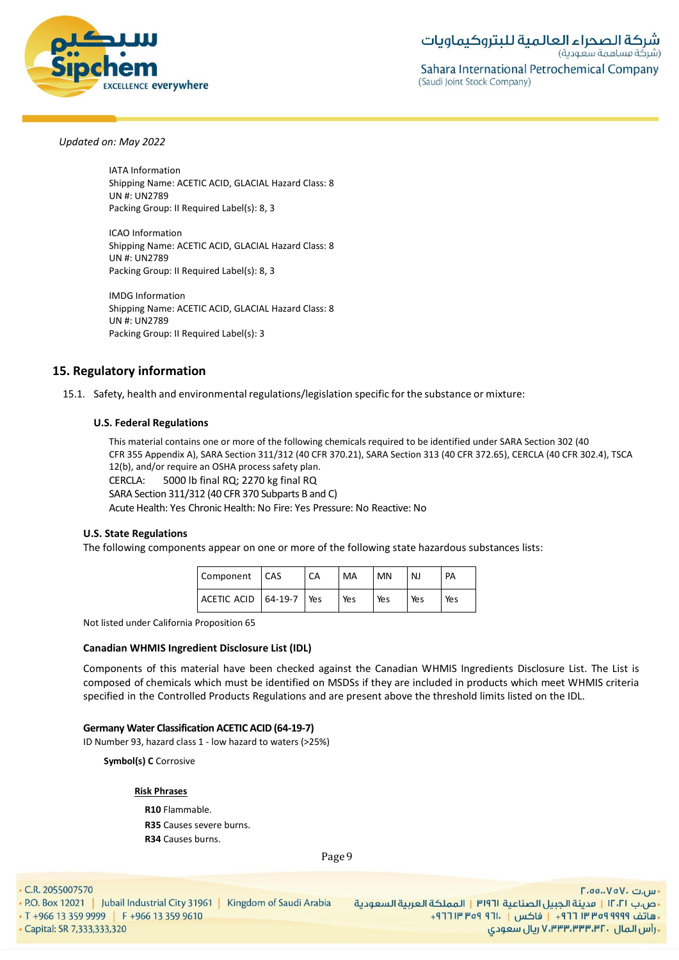

IATA Information Shipping Name: ACETIC ACID, GLACIAL Hazard Class: 8 UN #: UN2789 Packing Group: II Required Label(s): 8, 3

ICAO Information Shipping Name: ACETIC ACID, GLACIAL Hazard Class: 8 UN #: UN2789 Packing Group: II Required Label(s): 8, 3

IMDG Information Shipping Name: ACETIC ACID, GLACIAL Hazard Class: 8 UN #: UN2789 Packing Group: II Required Label(s): 3

# **15. Regulatory information**

15.1. Safety, health and environmental regulations/legislation specific for the substance or mixture:

# **U.S. Federal Regulations**

This material contains one or more of the following chemicals required to be identified under SARA Section 302 (40 CFR 355 Appendix A), SARA Section 311/312 (40 CFR 370.21), SARA Section 313 (40 CFR 372.65), CERCLA (40 CFR 302.4), TSCA 12(b), and/or require an OSHA process safety plan. CERCLA: 5000 lb final RQ; 2270 kg final RQ SARA Section 311/312 (40 CFR 370 Subparts B and C) Acute Health: Yes Chronic Health: No Fire: Yes Pressure: No Reactive: No

# **U.S. State Regulations**

The following components appear on one or more of the following state hazardous substances lists:

| Component   CAS             | СA | MA  | MN  | N.J | PA  |
|-----------------------------|----|-----|-----|-----|-----|
| ACETIC ACID   64-19-7   Yes |    | Yes | Yes | Yes | Yes |

Not listed under California Proposition 65

# **Canadian WHMIS Ingredient Disclosure List (IDL)**

Components of this material have been checked against the Canadian WHMIS Ingredients Disclosure List. The List is composed of chemicals which must be identified on MSDSs if they are included in products which meet WHMIS criteria specified in the Controlled Products Regulations and are present above the threshold limits listed on the IDL.

# **Germany Water Classification ACETIC ACID (64-19-7)**

ID Number 93, hazard class 1 - low hazard to waters (>25%)

**Symbol(s) C** Corrosive

# **Risk Phrases**

**R10** Flammable. **R35** Causes severe burns. **R34** Causes burns.

Page 9

• C.R. 2055007570

• P.O. Box 12021 | Jubail Industrial City 31961 | Kingdom of Saudi Arabia • T +966 13 359 9999 | F +966 13 359 9610 - Capital: SR 7,333,333,320

- س.ت ۷۵۷۰، ۲.۵۵.۰۷۵ •ص.ب ١٢٠٢١ | مدينة الجبيل الصناعية ٣١٩٦١ | المملكة العربية السعودية + هاتف ٩٩٩٩ ٩٩٩٩ ٣٥٣ ٢٦٢ - فاكس | ٢٦١٠ ٩٣٩ ٣١٢٣ + ـ رأس المال ، ۷٬۳۳۳٬۳۳۳٬۳۲ ريال سعودی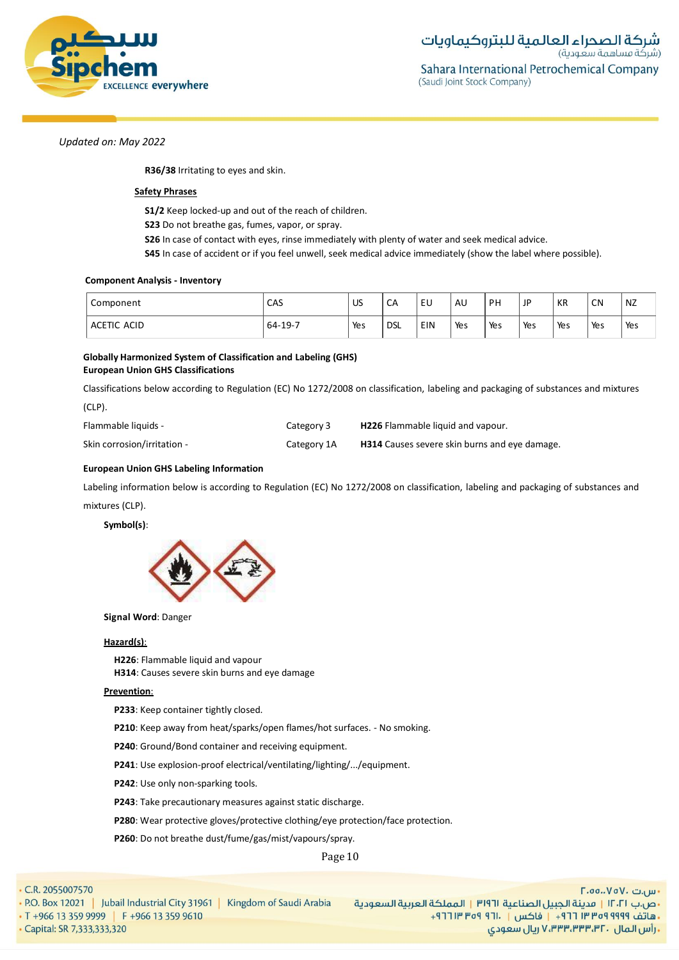

**R36/38** Irritating to eyes and skin.

# **Safety Phrases**

**S1/2** Keep locked-up and out of the reach of children.

**S23** Do not breathe gas, fumes, vapor, or spray.

**S26** In case of contact with eyes, rinse immediately with plenty of water and seek medical advice.

**S45** In case of accident or if you feel unwell, seek medical advice immediately (show the label where possible).

### **Component Analysis - Inventory**

| Component   | CAS       | US  | CA    | EU  | AU  | <b>DH</b> | JP  | КR  | <b>CN</b> | NZ  |
|-------------|-----------|-----|-------|-----|-----|-----------|-----|-----|-----------|-----|
| ACETIC ACID | $64-19-7$ | Yes | ' DSL | EIN | Yes | Yes       | Yes | Yes | Yes       | Yes |

# **Globally Harmonized System of Classification and Labeling (GHS) European Union GHS Classifications**

Classifications below according to Regulation (EC) No 1272/2008 on classification, labeling and packaging of substances and mixtures

(CLP).

| Flammable liquids -         | Category 3  | <b>H226</b> Flammable liquid and vapour.             |
|-----------------------------|-------------|------------------------------------------------------|
| Skin corrosion/irritation - | Category 1A | <b>H314</b> Causes severe skin burns and eye damage. |

# **European Union GHS Labeling Information**

Labeling information below is according to Regulation (EC) No 1272/2008 on classification, labeling and packaging of substances and mixtures (CLP).

**Symbol(s)**:



**Signal Word**: Danger

# **Hazard(s)**:

**H226**: Flammable liquid and vapour **H314**: Causes severe skin burns and eye damage

# **Prevention**:

**P233**: Keep container tightly closed.

**P210**: Keep away from heat/sparks/open flames/hot surfaces. - No smoking.

**P240**: Ground/Bond container and receiving equipment.

**P241**: Use explosion-proof electrical/ventilating/lighting/.../equipment.

**P242**: Use only non-sparking tools.

**P243**: Take precautionary measures against static discharge.

**P280**: Wear protective gloves/protective clothing/eye protection/face protection.

**P260**: Do not breathe dust/fume/gas/mist/vapours/spray.

Page 10

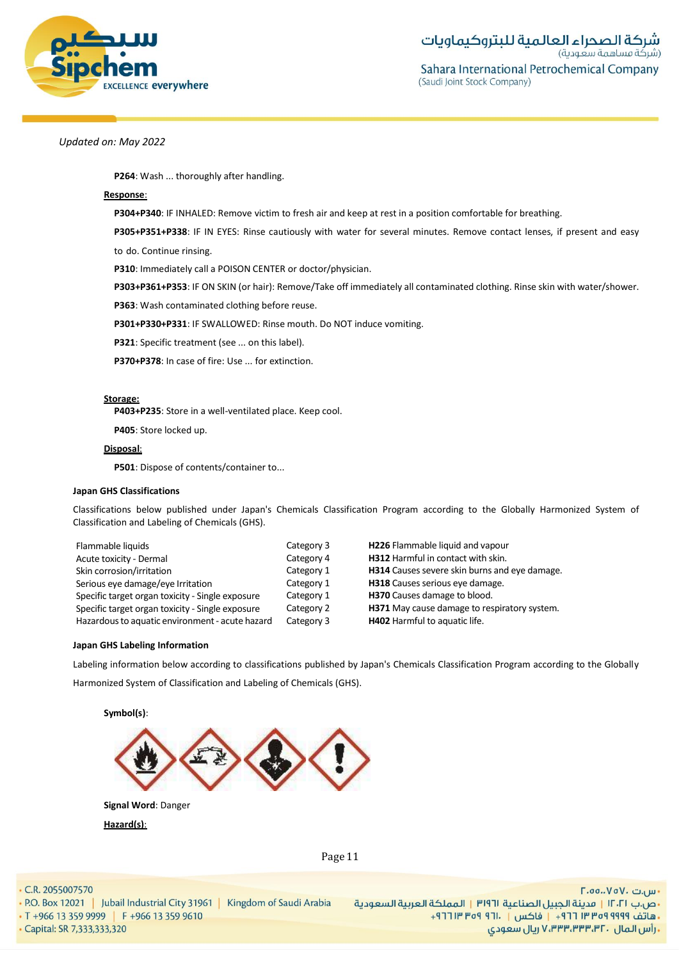

**P264**: Wash ... thoroughly after handling.

### **Response**:

**P304+P340**: IF INHALED: Remove victim to fresh air and keep at rest in a position comfortable for breathing.

**P305+P351+P338**: IF IN EYES: Rinse cautiously with water for several minutes. Remove contact lenses, if present and easy

to do. Continue rinsing.

**P310**: Immediately call a POISON CENTER or doctor/physician.

**P303+P361+P353**: IF ON SKIN (or hair): Remove/Take off immediately all contaminated clothing. Rinse skin with water/shower.

**P363**: Wash contaminated clothing before reuse.

**P301+P330+P331**: IF SWALLOWED: Rinse mouth. Do NOT induce vomiting.

**P321**: Specific treatment (see ... on this label).

**P370+P378**: In case of fire: Use ... for extinction.

#### **Storage:**

**P403+P235**: Store in a well-ventilated place. Keep cool.

**P405**: Store locked up.

# **Disposal**:

**P501**: Dispose of contents/container to...

#### **Japan GHS Classifications**

Classifications below published under Japan's Chemicals Classification Program according to the Globally Harmonized System of Classification and Labeling of Chemicals (GHS).

| Flammable liquids                                | Category 3 | H226 Flammable liquid and vapour              |
|--------------------------------------------------|------------|-----------------------------------------------|
| Acute toxicity - Dermal                          | Category 4 | H312 Harmful in contact with skin.            |
| Skin corrosion/irritation                        | Category 1 | H314 Causes severe skin burns and eye damage. |
| Serious eye damage/eye Irritation                | Category 1 | H318 Causes serious eye damage.               |
| Specific target organ toxicity - Single exposure | Category 1 | H370 Causes damage to blood.                  |
| Specific target organ toxicity - Single exposure | Category 2 | H371 May cause damage to respiratory system.  |
| Hazardous to aquatic environment - acute hazard  | Category 3 | <b>H402</b> Harmful to aquatic life.          |

#### **Japan GHS Labeling Information**

Labeling information below according to classifications published by Japan's Chemicals Classification Program according to the Globally Harmonized System of Classification and Labeling of Chemicals (GHS).



**Hazard(s)**:

Page 11

· Capital: SR 7,333,333,320

• P.O. Box 12021 | Jubail Industrial City 31961 | Kingdom of Saudi Arabia • T +966 13 359 9999 | F +966 13 359 9610

- س.ت ۷۵۷۰، ۲.۵۵.۰۷۵ •ص.ب ١٢٠٢١ | مدينة الجبيل الصناعية ٣١٩٦١ | المملكة العربية السعودية +هاتف ٩٩٩٩ ٩٥٩ ٣٣ ٣٦٦ + إ فاكس | ١٣٠١ ٩٥٩ ٣١٢ + ـ رأس المال ، ۷٬۳۳۳٬۳۳۳٬۳۲ ريال سعودی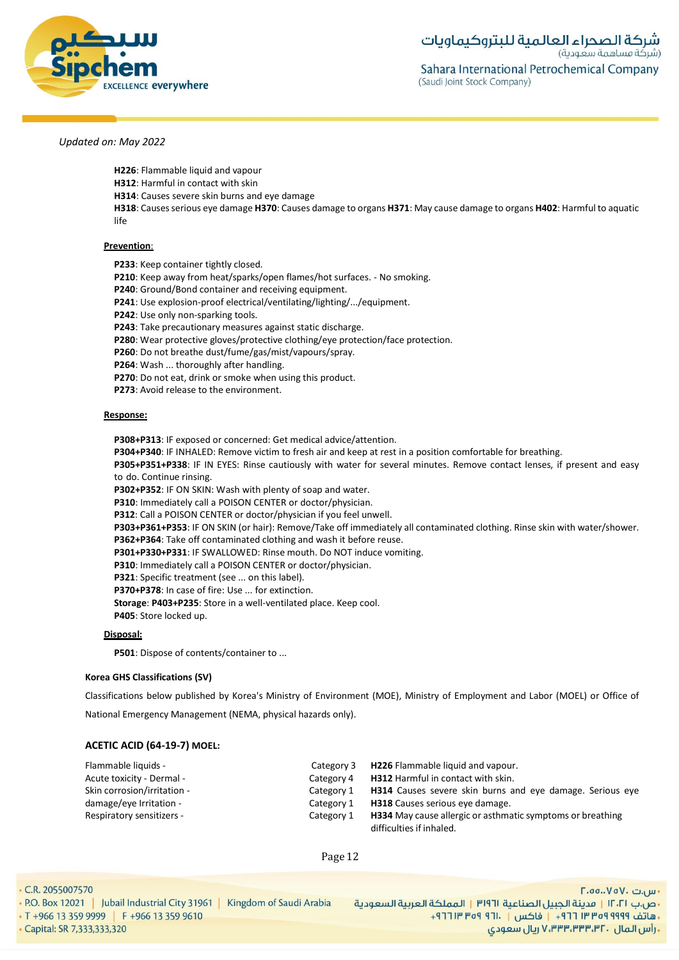

- **H226**: Flammable liquid and vapour
- **H312**: Harmful in contact with skin
- **H314**: Causes severe skin burns and eye damage

**H318**: Causesserious eye damage **H370**: Causes damage to organs **H371**: May cause damage to organs **H402**: Harmful to aquatic life

#### **Prevention**:

**P233**: Keep container tightly closed.

- **P210**: Keep away from heat/sparks/open flames/hot surfaces. No smoking.
- **P240**: Ground/Bond container and receiving equipment.
- **P241**: Use explosion-proof electrical/ventilating/lighting/.../equipment.

**P242**: Use only non-sparking tools.

**P243**: Take precautionary measures against static discharge.

- **P280**: Wear protective gloves/protective clothing/eye protection/face protection.
- **P260**: Do not breathe dust/fume/gas/mist/vapours/spray.

**P264**: Wash ... thoroughly after handling.

**P270**: Do not eat, drink or smoke when using this product.

**P273**: Avoid release to the environment.

#### **Response:**

**P308+P313**: IF exposed or concerned: Get medical advice/attention.

**P304+P340**: IF INHALED: Remove victim to fresh air and keep at rest in a position comfortable for breathing.

**P305+P351+P338**: IF IN EYES: Rinse cautiously with water for several minutes. Remove contact lenses, if present and easy to do. Continue rinsing.

**P302+P352**: IF ON SKIN: Wash with plenty of soap and water.

- **P310**: Immediately call a POISON CENTER or doctor/physician.
- **P312**: Call a POISON CENTER or doctor/physician if you feel unwell.

**P303+P361+P353**: IF ON SKIN (or hair): Remove/Take off immediately all contaminated clothing. Rinse skin with water/shower.

**P362+P364**: Take off contaminated clothing and wash it before reuse.

**P301+P330+P331**: IF SWALLOWED: Rinse mouth. Do NOT induce vomiting.

**P310**: Immediately call a POISON CENTER or doctor/physician.

- **P321**: Specific treatment (see ... on this label).
- **P370+P378**: In case of fire: Use ... for extinction.

**Storage**: **P403+P235**: Store in a well-ventilated place. Keep cool.

**P405**: Store locked up.

# **Disposal:**

**P501**: Dispose of contents/container to ...

#### **Korea GHS Classifications (SV)**

Classifications below published by Korea's Ministry of Environment (MOE), Ministry of Employment and Labor (MOEL) or Office of

National Emergency Management (NEMA, physical hazards only).

# **ACETIC ACID (64-19-7) MOEL:**

| Flammable liquids -         | Category 3 | <b>H226</b> Flammable liquid and vapour.                                                      |
|-----------------------------|------------|-----------------------------------------------------------------------------------------------|
| Acute toxicity - Dermal -   | Category 4 | H312 Harmful in contact with skin.                                                            |
| Skin corrosion/irritation - | Category 1 | <b>H314</b> Causes severe skin burns and eye damage. Serious eye                              |
| damage/eye Irritation -     | Category 1 | <b>H318</b> Causes serious eye damage.                                                        |
| Respiratory sensitizers -   | Category 1 | <b>H334</b> May cause allergic or asthmatic symptoms or breathing<br>difficulties if inhaled. |

Page 12

• C.R. 2055007570

- Capital: SR 7,333,333,320

• P.O. Box 12021 | Jubail Industrial City 31961 | Kingdom of Saudi Arabia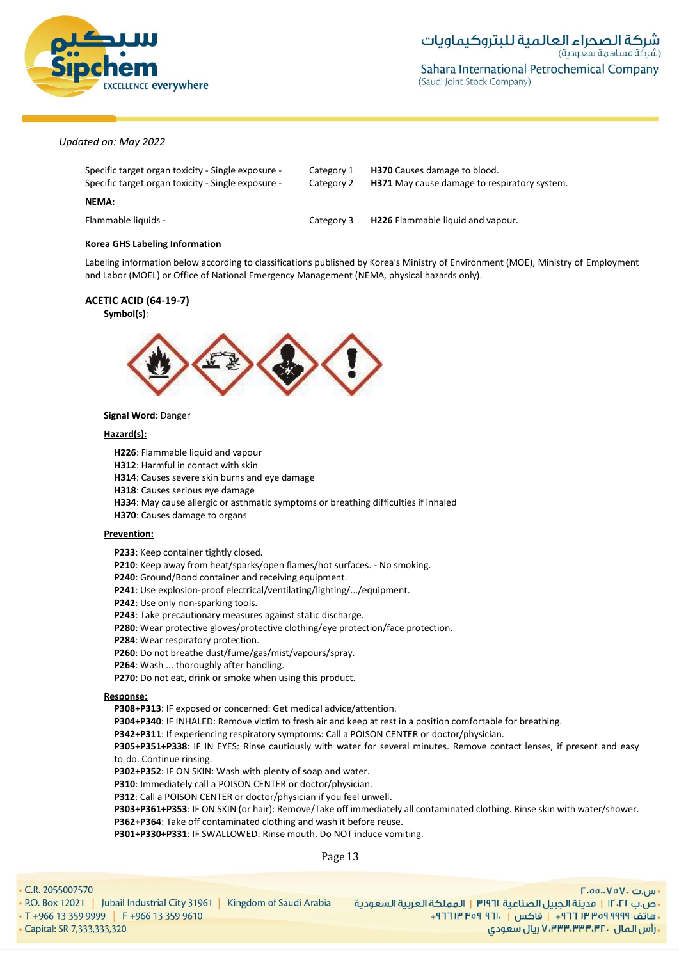

| Specific target organ toxicity - Single exposure -<br>Specific target organ toxicity - Single exposure - | Category 1<br>Category 2 | <b>H370</b> Causes damage to blood.<br><b>H371</b> May cause damage to respiratory system. |
|----------------------------------------------------------------------------------------------------------|--------------------------|--------------------------------------------------------------------------------------------|
| NEMA:                                                                                                    |                          |                                                                                            |
| Flammable liquids -                                                                                      | Category 3               | <b>H226</b> Flammable liquid and vapour.                                                   |

# **Korea GHS Labeling Information**

Labeling information below according to classifications published by Korea's Ministry of Environment (MOE), Ministry of Employment and Labor (MOEL) or Office of National Emergency Management (NEMA, physical hazards only).

# **ACETIC ACID (64-19-7)**

# **Symbol(s)**:



# **Signal Word**: Danger

# **Hazard(s):**

**H226**: Flammable liquid and vapour

**H312**: Harmful in contact with skin

**H314**: Causes severe skin burns and eye damage

**H318**: Causes serious eye damage

**H334**: May cause allergic or asthmatic symptoms or breathing difficulties if inhaled

**H370**: Causes damage to organs

# **Prevention:**

**P233**: Keep container tightly closed.

**P210**: Keep away from heat/sparks/open flames/hot surfaces. - No smoking.

**P240**: Ground/Bond container and receiving equipment.

**P241**: Use explosion-proof electrical/ventilating/lighting/.../equipment.

**P242**: Use only non-sparking tools.

**P243**: Take precautionary measures against static discharge.

**P280**: Wear protective gloves/protective clothing/eye protection/face protection.

**P284**: Wear respiratory protection.

**P260**: Do not breathe dust/fume/gas/mist/vapours/spray.

**P264**: Wash ... thoroughly after handling.

**P270**: Do not eat, drink or smoke when using this product.

# **Response:**

**P308+P313**: IF exposed or concerned: Get medical advice/attention.

**P304+P340**: IF INHALED: Remove victim to fresh air and keep at rest in a position comfortable for breathing.

**P342+P311**: If experiencing respiratory symptoms: Call a POISON CENTER or doctor/physician.

**P305+P351+P338**: IF IN EYES: Rinse cautiously with water for several minutes. Remove contact lenses, if present and easy to do. Continue rinsing.

**P302+P352**: IF ON SKIN: Wash with plenty of soap and water.

**P310**: Immediately call a POISON CENTER or doctor/physician.

**P312**: Call a POISON CENTER or doctor/physician if you feel unwell.

**P303+P361+P353**: IF ON SKIN (or hair): Remove/Take off immediately all contaminated clothing. Rinse skin with water/shower. **P362+P364**: Take off contaminated clothing and wash it before reuse.

**P301+P330+P331**: IF SWALLOWED: Rinse mouth. Do NOT induce vomiting.

Page 13

 $. P($  $\cdot$  T C

| R. 2055007570                                                                 | ۰ س.ت .VoV، تس                                                      |
|-------------------------------------------------------------------------------|---------------------------------------------------------------------|
| $\rm{D.}$ Box 12021   Jubail Industrial City 31961<br>Kingdom of Saudi Arabia | •ص.ب ١٢٠٢١   مدينة الجبيل الصناعية ٣١٩٦١   المملكة العربية السعودية |
| +966 13 359 9999 F +966 13 359 9610                                           | ـ هاتف ٩٩٩٩ ٩٩٩٩ ٣٦ ٦٦ - ١٣ فاكس   . ١٦١٠ ٩٣٩ ١٣ ٦٦ + ٩٦            |
| pital: SR 7,333,333,320                                                       | . رأس الـمال  ، ۷٬۳۳۳٬۳۳۳٬۳۲ ریال سعودی                             |
|                                                                               |                                                                     |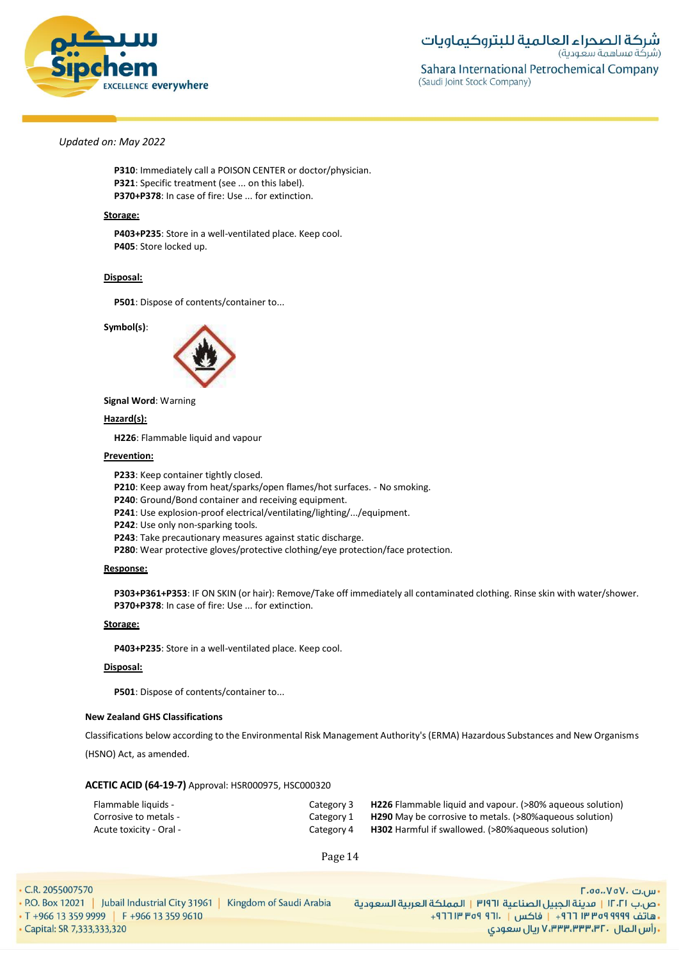

**P310**: Immediately call a POISON CENTER or doctor/physician. **P321**: Specific treatment (see ... on this label). **P370+P378**: In case of fire: Use ... for extinction.

#### **Storage:**

**P403+P235**: Store in a well-ventilated place. Keep cool. **P405**: Store locked up.

#### **Disposal:**

**P501**: Dispose of contents/container to...

**Symbol(s)**:



**Signal Word**: Warning

# **Hazard(s):**

**H226**: Flammable liquid and vapour

#### **Prevention:**

**P233**: Keep container tightly closed.

**P210**: Keep away from heat/sparks/open flames/hot surfaces. - No smoking.

**P240**: Ground/Bond container and receiving equipment.

**P241**: Use explosion-proof electrical/ventilating/lighting/.../equipment.

**P242**: Use only non-sparking tools.

**P243**: Take precautionary measures against static discharge.

**P280**: Wear protective gloves/protective clothing/eye protection/face protection.

#### **Response:**

**P303+P361+P353**: IF ON SKIN (or hair): Remove/Take off immediately all contaminated clothing. Rinse skin with water/shower. **P370+P378**: In case of fire: Use ... for extinction.

### **Storage:**

**P403+P235**: Store in a well-ventilated place. Keep cool.

# **Disposal:**

**P501**: Dispose of contents/container to...

#### **New Zealand GHS Classifications**

Classifications below according to the Environmental Risk Management Authority's (ERMA) Hazardous Substances and New Organisms (HSNO) Act, as amended.

#### **ACETIC ACID (64-19-7)** Approval: HSR000975, HSC000320

| Flammable liquids -     | Category 3 | <b>H226</b> Flammable liquid and vapour. (>80% aqueous solution) |
|-------------------------|------------|------------------------------------------------------------------|
| Corrosive to metals -   | Category 1 | <b>H290</b> May be corrosive to metals. (>80% agueous solution)  |
| - Acute toxicity - Oral | Category 4 | <b>H302</b> Harmful if swallowed. (>80% aqueous solution)        |

Page 14

• C.R. 2055007570

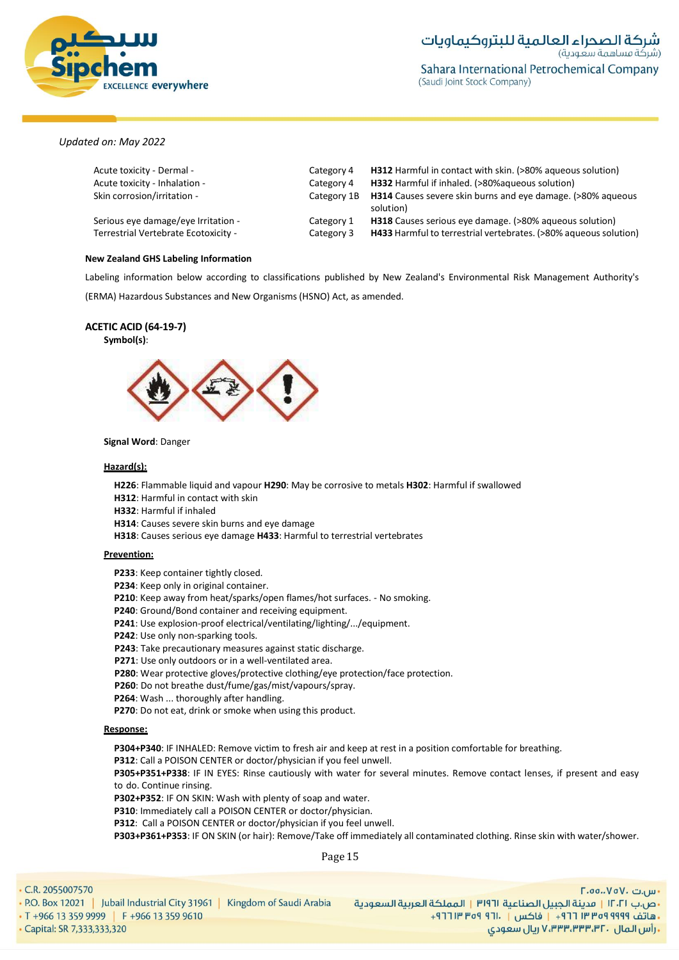

| Acute toxicity - Dermal -<br>Acute toxicity - Inhalation - | Category 4<br>Category 4 | <b>H312</b> Harmful in contact with skin. (>80% agueous solution)<br>H332 Harmful if inhaled. (>80% agueous solution) |
|------------------------------------------------------------|--------------------------|-----------------------------------------------------------------------------------------------------------------------|
|                                                            |                          |                                                                                                                       |
| Skin corrosion/irritation -                                | Category 1B              | <b>H314</b> Causes severe skin burns and eye damage. (>80% agueous<br>solution)                                       |
| Serious eye damage/eye Irritation -                        | Category 1               | <b>H318</b> Causes serious eye damage. (>80% aqueous solution)                                                        |
| Terrestrial Vertebrate Ecotoxicity -                       | Category 3               | <b>H433</b> Harmful to terrestrial vertebrates. (>80% agueous solution)                                               |

#### **New Zealand GHS Labeling Information**

Labeling information below according to classifications published by New Zealand's Environmental Risk Management Authority's (ERMA) Hazardous Substances and New Organisms (HSNO) Act, as amended.

# **ACETIC ACID (64-19-7)**

**Symbol(s)**:



#### **Signal Word**: Danger

### **Hazard(s):**

**H226**: Flammable liquid and vapour **H290**: May be corrosive to metals **H302**: Harmful if swallowed

**H312**: Harmful in contact with skin

**H332**: Harmful if inhaled

**H314**: Causes severe skin burns and eye damage

**H318**: Causes serious eye damage **H433**: Harmful to terrestrial vertebrates

#### **Prevention:**

**P233**: Keep container tightly closed.

**P234**: Keep only in original container.

**P210**: Keep away from heat/sparks/open flames/hot surfaces. - No smoking.

**P240**: Ground/Bond container and receiving equipment.

**P241**: Use explosion-proof electrical/ventilating/lighting/.../equipment.

**P242**: Use only non-sparking tools.

**P243**: Take precautionary measures against static discharge.

**P271**: Use only outdoors or in a well-ventilated area.

**P280**: Wear protective gloves/protective clothing/eye protection/face protection.

**P260**: Do not breathe dust/fume/gas/mist/vapours/spray.

**P264**: Wash ... thoroughly after handling.

**P270**: Do not eat, drink or smoke when using this product.

### **Response:**

**P304+P340**: IF INHALED: Remove victim to fresh air and keep at rest in a position comfortable for breathing.

**P312**: Call a POISON CENTER or doctor/physician if you feel unwell.

**P305+P351+P338**: IF IN EYES: Rinse cautiously with water for several minutes. Remove contact lenses, if present and easy to do. Continue rinsing.

**P302+P352**: IF ON SKIN: Wash with plenty of soap and water.

**P310**: Immediately call a POISON CENTER or doctor/physician.

**P312**: Call a POISON CENTER or doctor/physician if you feel unwell.

**P303+P361+P353**: IF ON SKIN (or hair): Remove/Take off immediately all contaminated clothing. Rinse skin with water/shower.

Page 15

 $\cdot$  P  $\cdot$  T  $\epsilon$ 

| R. 2055007570                                                          | $\Gamma$ .00.، $V$ o $V$ ، س $\mu$ ۰                                |
|------------------------------------------------------------------------|---------------------------------------------------------------------|
| O. Box 12021   Jubail Industrial City 31961<br>Kingdom of Saudi Arabia | ·ص.ب ١٢٠٢١   مدينة الجبيل الصناعية ٣١٩٦١   المملكة العربية السعودية |
| +966 13 359 9999 F +966 13 359 9610                                    | ـ هاتف ٩٩٩٩ ٩٥٩ ٣٣ ٣٦٦ - إ فاكس   . ١٦٦ ٩٥٩ ١٣ ٢٦٦ +                |
| apital: SR 7,333,333,320                                               | ۱۰ رأس الـمال ۷٬۳۳۳٬۳۳۳٬۳۲۰ ريال سعودي .                            |
|                                                                        |                                                                     |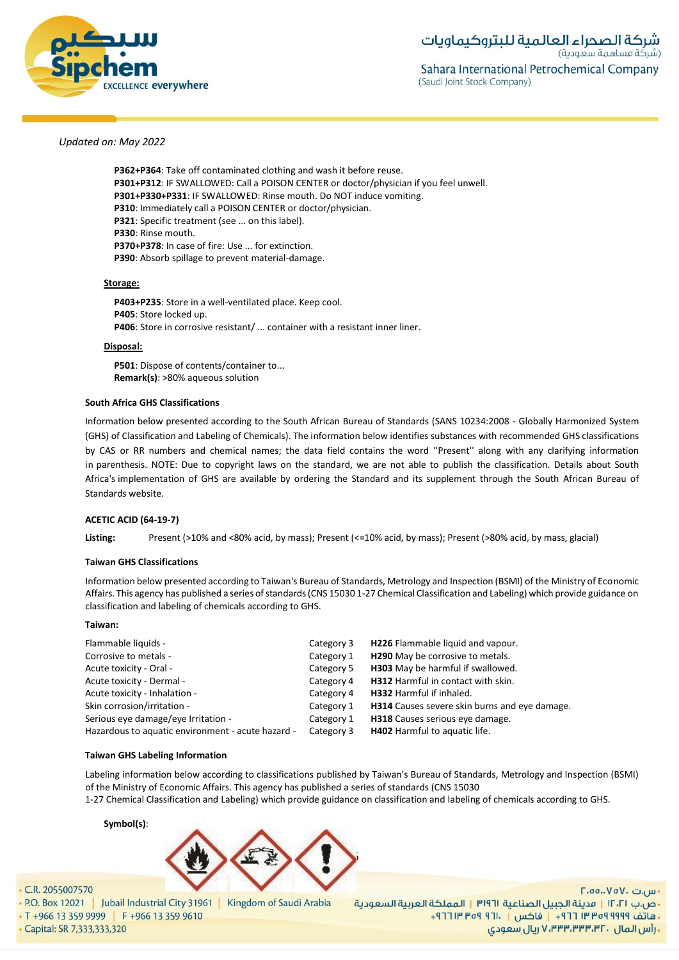

**P362+P364**: Take off contaminated clothing and wash it before reuse. **P301+P312**: IF SWALLOWED: Call a POISON CENTER or doctor/physician if you feel unwell. **P301+P330+P331**: IF SWALLOWED: Rinse mouth. Do NOT induce vomiting. **P310**: Immediately call a POISON CENTER or doctor/physician. **P321**: Specific treatment (see ... on this label). **P330**: Rinse mouth. **P370+P378**: In case of fire: Use ... for extinction. **P390**: Absorb spillage to prevent material-damage.

# **Storage:**

**P403+P235**: Store in a well-ventilated place. Keep cool. **P405**: Store locked up. **P406**: Store in corrosive resistant/ ... container with a resistant inner liner.

#### **Disposal:**

**P501**: Dispose of contents/container to... **Remark(s)**: >80% aqueous solution

# **South Africa GHS Classifications**

Information below presented according to the South African Bureau of Standards (SANS 10234:2008 - Globally Harmonized System (GHS) of Classification and Labeling of Chemicals). The information below identifies substances with recommended GHS classifications by CAS or RR numbers and chemical names; the data field contains the word ''Present'' along with any clarifying information in parenthesis. NOTE: Due to copyright laws on the standard, we are not able to publish the classification. Details about South Africa's implementation of GHS are available by ordering the Standard and its supplement through the South African Bureau of Standards website.

# **ACETIC ACID (64-19-7)**

**Listing:** Present (>10% and <80% acid, by mass); Present (<=10% acid, by mass); Present (>80% acid, by mass, glacial)

#### **Taiwan GHS Classifications**

Information below presented according to Taiwan's Bureau of Standards, Metrology and Inspection (BSMI) of the Ministry of Economic Affairs. This agency has published a series of standards (CNS 15030 1-27 Chemical Classification and Labeling) which provide guidance on classification and labeling of chemicals according to GHS.

#### **Taiwan:**

| Flammable liquids -                               | Category 3 | H226 Flammable liquid and vapour.                    |
|---------------------------------------------------|------------|------------------------------------------------------|
| Corrosive to metals -                             | Category 1 | H290 May be corrosive to metals.                     |
| Acute toxicity - Oral -                           | Category 5 | H303 May be harmful if swallowed.                    |
| Acute toxicity - Dermal -                         | Category 4 | <b>H312</b> Harmful in contact with skin.            |
| Acute toxicity - Inhalation -                     | Category 4 | H332 Harmful if inhaled.                             |
| Skin corrosion/irritation -                       | Category 1 | <b>H314</b> Causes severe skin burns and eye damage. |
| Serious eye damage/eye Irritation -               | Category 1 | H318 Causes serious eye damage.                      |
| Hazardous to aquatic environment - acute hazard - | Category 3 | <b>H402</b> Harmful to aquatic life.                 |
|                                                   |            |                                                      |

# **Taiwan GHS Labeling Information**

Labeling information below according to classifications published by Taiwan's Bureau of Standards, Metrology and Inspection (BSMI) of the Ministry of Economic Affairs. This agency has published a series of standards (CNS 15030

1-27 Chemical Classification and Labeling) which provide guidance on classification and labeling of chemicals according to GHS.

# **Symbol(s)**:



# • C.R. 2055007570

• P.O. Box 12021 | Jubail Industrial City 31961 | Kingdom of Saudi Arabia

• T +966 13 359 9999 | F +966 13 359 9610

- Capital: SR 7,333,333,320

F.oo..VoV. تىر <sub>u</sub> •ص.ب ١٢٠٢١ | مدينة الجبيل الصناعية ٣١٩٦١ | المملكة العربية السعودية + هاتف ٩٩٩٩ ٩٩٩٩ ٣ ٣ ٢ ٢ ١ - إ فاكس | . ١٢١ ٩٥٩ ٣ ٢ ٢ ٢ + ـ رأس المال ، ۷٬۳۳۳٬۳۳۳٬۳۲ ریال سعودی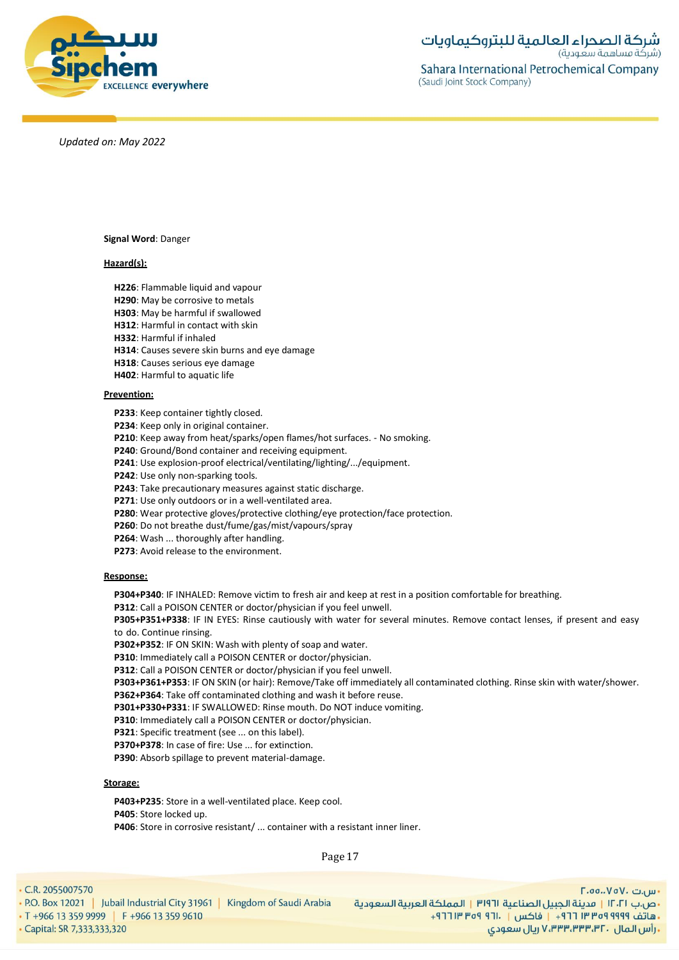

**Signal Word**: Danger

# **Hazard(s):**

**H226**: Flammable liquid and vapour

- **H290**: May be corrosive to metals
- **H303**: May be harmful if swallowed
- **H312**: Harmful in contact with skin

**H332**: Harmful if inhaled

- **H314**: Causes severe skin burns and eye damage
- **H318**: Causes serious eye damage
- **H402**: Harmful to aquatic life

# **Prevention:**

**P233**: Keep container tightly closed.

**P234**: Keep only in original container.

**P210**: Keep away from heat/sparks/open flames/hot surfaces. - No smoking.

**P240**: Ground/Bond container and receiving equipment.

**P241**: Use explosion-proof electrical/ventilating/lighting/.../equipment.

**P242**: Use only non-sparking tools.

**P243**: Take precautionary measures against static discharge.

**P271**: Use only outdoors or in a well-ventilated area.

**P280**: Wear protective gloves/protective clothing/eye protection/face protection.

**P260**: Do not breathe dust/fume/gas/mist/vapours/spray

**P264**: Wash ... thoroughly after handling.

**P273**: Avoid release to the environment.

# **Response:**

**P304+P340**: IF INHALED: Remove victim to fresh air and keep at rest in a position comfortable for breathing.

**P312**: Call a POISON CENTER or doctor/physician if you feel unwell.

**P305+P351+P338**: IF IN EYES: Rinse cautiously with water for several minutes. Remove contact lenses, if present and easy to do. Continue rinsing.

**P302+P352**: IF ON SKIN: Wash with plenty of soap and water.

**P310**: Immediately call a POISON CENTER or doctor/physician.

**P312**: Call a POISON CENTER or doctor/physician if you feel unwell.

**P303+P361+P353**: IF ON SKIN (or hair): Remove/Take off immediately all contaminated clothing. Rinse skin with water/shower. **P362+P364**: Take off contaminated clothing and wash it before reuse.

**P301+P330+P331**: IF SWALLOWED: Rinse mouth. Do NOT induce vomiting.

**P310**: Immediately call a POISON CENTER or doctor/physician.

**P321**: Specific treatment (see ... on this label).

**P370+P378**: In case of fire: Use ... for extinction.

**P390**: Absorb spillage to prevent material-damage.

# **Storage:**

**P403+P235**: Store in a well-ventilated place. Keep cool. **P405**: Store locked up. **P406**: Store in corrosive resistant/ ... container with a resistant inner liner.

Page 17

• C.R. 2055007570

. P.O. Box 12021 | Jubail Industrial City 31961 | Kingdom of Saudi Arabia • T +966 13 359 9999 | F +966 13 359 9610 - Capital: SR 7,333,333,320

F.oo..VoV. تىر <sub>u</sub> •ص.ب ١٢٠٢١ | مدينة الجبيل الصناعية ٣١٩٦١ | المملكة العربية السعودية + هاتف ٩٩٩٩ ٩٩٩٩ ٣ ٣ ٢ ٢ ١ - إ فاكس | . ١٢١ ٩٥٩ ٣ ٢ ٢ ٢ + ريال سعودي, ۷٬۳۳۳٬۳۳۳٬۳۲۰ ريال سعودي